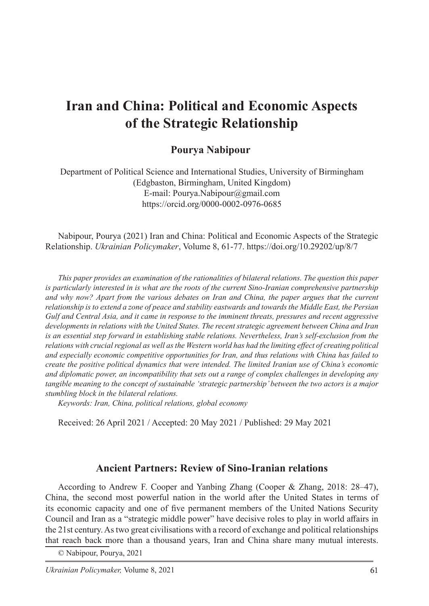# **Iran and China: Political and Economic Aspects of the Strategic Relationship**

# **Pourya Nabipour**

Department of Political Science and International Studies, University of Birmingham (Edgbaston, Birmingham, United Kingdom) E-mail: Pourya.Nabipour@gmail.com https://orcid.org/0000-0002-0976-0685

Nabipour, Pourya (2021) Iran and China: Political and Economic Aspects of the Strategic Relationship. *Ukrainian Policymaker*, Volume 8, 61-77. https://doi.org/10.29202/up/8/7

*This paper provides an examination of the rationalities of bilateral relations. The question this paper is particularly interested in is what are the roots of the current Sino-Iranian comprehensive partnership and why now? Apart from the various debates on Iran and China, the paper argues that the current relationship is to extend a zone of peace and stability eastwards and towards the Middle East, the Persian Gulf and Central Asia, and it came in response to the imminent threats, pressures and recent aggressive developments in relations with the United States. The recent strategic agreement between China and Iran is an essential step forward in establishing stable relations. Nevertheless, Iran's self-exclusion from the*  relations with crucial regional as well as the Western world has had the limiting effect of creating political *and especially economic competitive opportunities for Iran, and thus relations with China has failed to create the positive political dynamics that were intended. The limited Iranian use of China's economic and diplomatic power, an incompatibility that sets out a range of complex challenges in developing any tangible meaning to the concept of sustainable 'strategic partnership' between the two actors is a major stumbling block in the bilateral relations.*

*Keywords: Iran, China, political relations, global economy*

Received: 26 April 2021 / Accepted: 20 May 2021 / Published: 29 May 2021

## **Ancient Partners: Review of Sino-Iranian relations**

According to Andrew F. Cooper and Yanbing Zhang (Cooper & Zhang, 2018: 28–47), China, the second most powerful nation in the world after the United States in terms of its economic capacity and one of five permanent members of the United Nations Security Council and Iran as a "strategic middle power" have decisive roles to play in world affairs in the 21st century.As two great civilisations with a record of exchange and political relationships that reach back more than a thousand years, Iran and China share many mutual interests.

© Nabipour, Pourya, 2021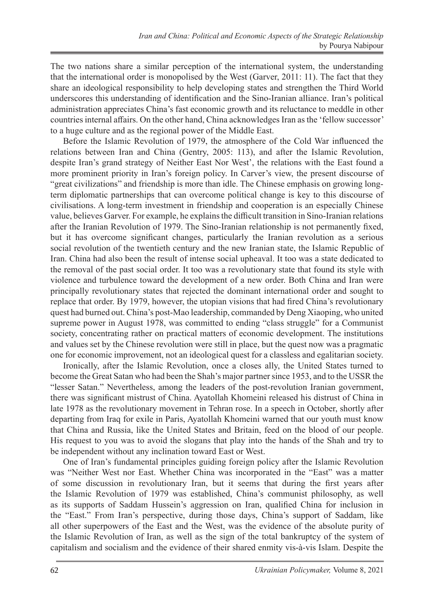The two nations share a similar perception of the international system, the understanding that the international order is monopolised by the West (Garver, 2011: 11). The fact that they share an ideological responsibility to help developing states and strengthen the Third World underscores this understanding of identification and the Sino-Iranian alliance. Iran's political administration appreciates China's fast economic growth and its reluctance to meddle in other countries internal affairs. On the other hand, China acknowledges Iran as the 'fellow successor' to a huge culture and as the regional power of the Middle East.

Before the Islamic Revolution of 1979, the atmosphere of the Cold War influenced the relations between Iran and China (Gentry, 2005: 113), and after the Islamic Revolution, despite Iran's grand strategy of Neither East Nor West', the relations with the East found a more prominent priority in Iran's foreign policy. In Carver's view, the present discourse of "great civilizations" and friendship is more than idle. The Chinese emphasis on growing longterm diplomatic partnerships that can overcome political change is key to this discourse of civilisations. A long-term investment in friendship and cooperation is an especially Chinese value, believes Garver. For example, he explains the difficult transition in Sino-Iranian relations after the Iranian Revolution of 1979. The Sino-Iranian relationship is not permanently fixed, but it has overcome significant changes, particularly the Iranian revolution as a serious social revolution of the twentieth century and the new Iranian state, the Islamic Republic of Iran. China had also been the result of intense social upheaval. It too was a state dedicated to the removal of the past social order. It too was a revolutionary state that found its style with violence and turbulence toward the development of a new order. Both China and Iran were principally revolutionary states that rejected the dominant international order and sought to replace that order. By 1979, however, the utopian visions that had fired China's revolutionary quest had burned out. China's post-Mao leadership, commanded by Deng Xiaoping, who united supreme power in August 1978, was committed to ending "class struggle" for a Communist society, concentrating rather on practical matters of economic development. The institutions and values set by the Chinese revolution were still in place, but the quest now was a pragmatic one for economic improvement, not an ideological quest for a classless and egalitarian society.

Ironically, after the Islamic Revolution, once a closes ally, the United States turned to become the Great Satan who had been the Shah's major partner since 1953, and to the USSR the "lesser Satan." Nevertheless, among the leaders of the post-revolution Iranian government, there was significant mistrust of China. Ayatollah Khomeini released his distrust of China in late 1978 as the revolutionary movement in Tehran rose. In a speech in October, shortly after departing from Iraq for exile in Paris, Ayatollah Khomeini warned that our youth must know that China and Russia, like the United States and Britain, feed on the blood of our people. His request to you was to avoid the slogans that play into the hands of the Shah and try to be independent without any inclination toward East or West.

One of Iran's fundamental principles guiding foreign policy after the Islamic Revolution was "Neither West nor East. Whether China was incorporated in the "East" was a matter of some discussion in revolutionary Iran, but it seems that during the first years after the Islamic Revolution of 1979 was established, China's communist philosophy, as well as its supports of Saddam Hussein's aggression on Iran, qualified China for inclusion in the "East." From Iran's perspective, during those days, China's support of Saddam, like all other superpowers of the East and the West, was the evidence of the absolute purity of the Islamic Revolution of Iran, as well as the sign of the total bankruptcy of the system of capitalism and socialism and the evidence of their shared enmity vis-à-vis Islam. Despite the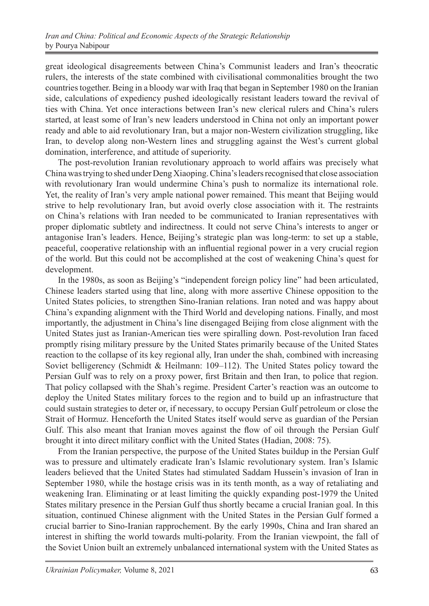great ideological disagreements between China's Communist leaders and Iran's theocratic rulers, the interests of the state combined with civilisational commonalities brought the two countries together. Being in a bloody war with Iraq that began in September 1980 on the Iranian side, calculations of expediency pushed ideologically resistant leaders toward the revival of ties with China. Yet once interactions between Iran's new clerical rulers and China's rulers started, at least some of Iran's new leaders understood in China not only an important power ready and able to aid revolutionary Iran, but a major non-Western civilization struggling, like Iran, to develop along non-Western lines and struggling against the West's current global domination, interference, and attitude of superiority.

The post-revolution Iranian revolutionary approach to world affairs was precisely what China was trying to shed under Deng Xiaoping. China's leaders recognised that close association with revolutionary Iran would undermine China's push to normalize its international role. Yet, the reality of Iran's very ample national power remained. This meant that Beijing would strive to help revolutionary Iran, but avoid overly close association with it. The restraints on China's relations with Iran needed to be communicated to Iranian representatives with proper diplomatic subtlety and indirectness. It could not serve China's interests to anger or antagonise Iran's leaders. Hence, Beijing's strategic plan was long-term: to set up a stable, peaceful, cooperative relationship with an influential regional power in a very crucial region of the world. But this could not be accomplished at the cost of weakening China's quest for development.

In the 1980s, as soon as Beijing's "independent foreign policy line" had been articulated, Chinese leaders started using that line, along with more assertive Chinese opposition to the United States policies, to strengthen Sino-Iranian relations. Iran noted and was happy about China's expanding alignment with the Third World and developing nations. Finally, and most importantly, the adjustment in China's line disengaged Beijing from close alignment with the United States just as Iranian-American ties were spiralling down. Post-revolution Iran faced promptly rising military pressure by the United States primarily because of the United States reaction to the collapse of its key regional ally, Iran under the shah, combined with increasing Soviet belligerency (Schmidt & Heilmann: 109–112). The United States policy toward the Persian Gulf was to rely on a proxy power, first Britain and then Iran, to police that region. That policy collapsed with the Shah's regime. President Carter's reaction was an outcome to deploy the United States military forces to the region and to build up an infrastructure that could sustain strategies to deter or, if necessary, to occupy Persian Gulf petroleum or close the Strait of Hormuz. Henceforth the United States itself would serve as guardian of the Persian Gulf. This also meant that Iranian moves against the flow of oil through the Persian Gulf brought it into direct military conflict with the United States (Hadian, 2008: 75).

From the Iranian perspective, the purpose of the United States buildup in the Persian Gulf was to pressure and ultimately eradicate Iran's Islamic revolutionary system. Iran's Islamic leaders believed that the United States had stimulated Saddam Hussein's invasion of Iran in September 1980, while the hostage crisis was in its tenth month, as a way of retaliating and weakening Iran. Eliminating or at least limiting the quickly expanding post-1979 the United States military presence in the Persian Gulf thus shortly became a crucial Iranian goal. In this situation, continued Chinese alignment with the United States in the Persian Gulf formed a crucial barrier to Sino-Iranian rapprochement. By the early 1990s, China and Iran shared an interest in shifting the world towards multi-polarity. From the Iranian viewpoint, the fall of the Soviet Union built an extremely unbalanced international system with the United States as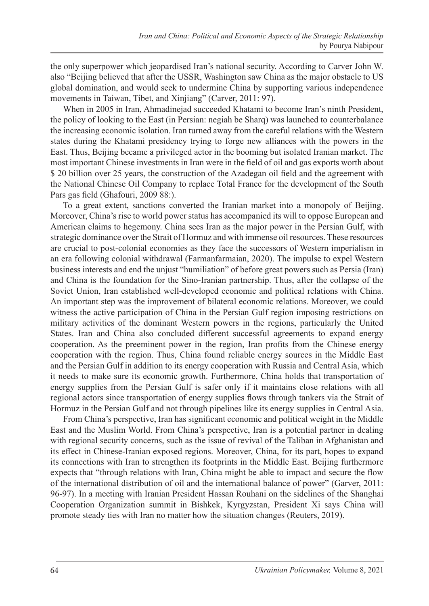the only superpower which jeopardised Iran's national security. According to Carver John W. also "Beijing believed that after the USSR, Washington saw China as the major obstacle to US global domination, and would seek to undermine China by supporting various independence movements in Taiwan, Tibet, and Xinjiang" (Carver, 2011: 97).

When in 2005 in Iran, Ahmadinejad succeeded Khatami to become Iran's ninth President, the policy of looking to the East (in Persian: negiah be Sharq) was launched to counterbalance the increasing economic isolation. Iran turned away from the careful relations with the Western states during the Khatami presidency trying to forge new alliances with the powers in the East. Thus, Beijing became a privileged actor in the booming but isolated Iranian market. The most important Chinese investments in Iran were in the field of oil and gas exports worth about \$ 20 billion over 25 years, the construction of the Azadegan oil field and the agreement with the National Chinese Oil Company to replace Total France for the development of the South Pars gas field (Ghafouri, 2009 88:).

To a great extent, sanctions converted the Iranian market into a monopoly of Beijing. Moreover, China's rise to world power status has accompanied its will to oppose European and American claims to hegemony. China sees Iran as the major power in the Persian Gulf, with strategic dominance over the Strait of Hormuz and with immense oil resources. These resources are crucial to post-colonial economies as they face the successors of Western imperialism in an era following colonial withdrawal (Farmanfarmaian, 2020). The impulse to expel Western business interests and end the unjust "humiliation" of before great powers such as Persia (Iran) and China is the foundation for the Sino-Iranian partnership. Thus, after the collapse of the Soviet Union, Iran established well-developed economic and political relations with China. An important step was the improvement of bilateral economic relations. Moreover, we could witness the active participation of China in the Persian Gulf region imposing restrictions on military activities of the dominant Western powers in the regions, particularly the United States. Iran and China also concluded different successful agreements to expand energy cooperation. As the preeminent power in the region, Iran profits from the Chinese energy cooperation with the region. Thus, China found reliable energy sources in the Middle East and the Persian Gulf in addition to its energy cooperation with Russia and Central Asia, which it needs to make sure its economic growth. Furthermore, China holds that transportation of energy supplies from the Persian Gulf is safer only if it maintains close relations with all regional actors since transportation of energy supplies flows through tankers via the Strait of Hormuz in the Persian Gulf and not through pipelines like its energy supplies in Central Asia.

From China's perspective, Iran has significant economic and political weight in the Middle East and the Muslim World. From China's perspective, Iran is a potential partner in dealing with regional security concerns, such as the issue of revival of the Taliban in Afghanistan and its effect in Chinese-Iranian exposed regions. Moreover, China, for its part, hopes to expand its connections with Iran to strengthen its footprints in the Middle East. Beijing furthermore expects that "through relations with Iran, China might be able to impact and secure the flow of the international distribution of oil and the international balance of power" (Garver, 2011: 96-97). In a meeting with Iranian President Hassan Rouhani on the sidelines of the Shanghai Cooperation Organization summit in Bishkek, Kyrgyzstan, President Xi says China will promote steady ties with Iran no matter how the situation changes (Reuters, 2019).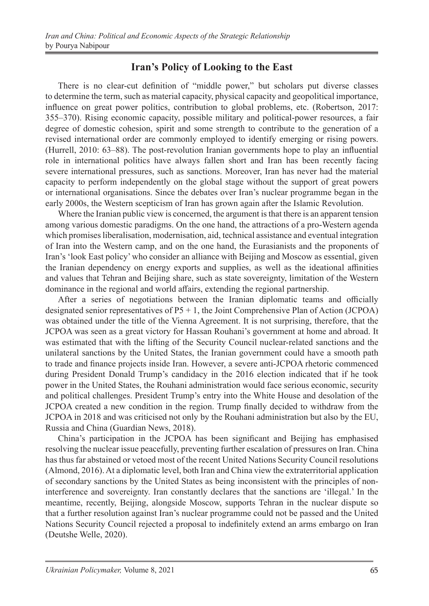# **Iran's Policy of Looking to the East**

There is no clear-cut definition of "middle power," but scholars put diverse classes to determine the term, such as material capacity, physical capacity and geopolitical importance, influence on great power politics, contribution to global problems, etc. (Robertson, 2017: 355–370). Rising economic capacity, possible military and political-power resources, a fair degree of domestic cohesion, spirit and some strength to contribute to the generation of a revised international order are commonly employed to identify emerging or rising powers. (Hurrell, 2010: 63–88). The post-revolution Iranian governments hope to play an influential role in international politics have always fallen short and Iran has been recently facing severe international pressures, such as sanctions. Moreover, Iran has never had the material capacity to perform independently on the global stage without the support of great powers or international organisations. Since the debates over Iran's nuclear programme began in the early 2000s, the Western scepticism of Iran has grown again after the Islamic Revolution.

Where the Iranian public view is concerned, the argument is that there is an apparent tension among various domestic paradigms. On the one hand, the attractions of a pro-Western agenda which promises liberalisation, modernisation, aid, technical assistance and eventual integration of Iran into the Western camp, and on the one hand, the Eurasianists and the proponents of Iran's 'look East policy' who consider an alliance with Beijing and Moscow as essential, given the Iranian dependency on energy exports and supplies, as well as the ideational affinities and values that Tehran and Beijing share, such as state sovereignty, limitation of the Western dominance in the regional and world affairs, extending the regional partnership.

After a series of negotiations between the Iranian diplomatic teams and officially designated senior representatives of  $P5 + 1$ , the Joint Comprehensive Plan of Action (JCPOA) was obtained under the title of the Vienna Agreement. It is not surprising, therefore, that the JCPOA was seen as a great victory for Hassan Rouhani's government at home and abroad. It was estimated that with the lifting of the Security Council nuclear-related sanctions and the unilateral sanctions by the United States, the Iranian government could have a smooth path to trade and finance projects inside Iran. However, a severe anti-JCPOA rhetoric commenced during President Donald Trump's candidacy in the 2016 election indicated that if he took power in the United States, the Rouhani administration would face serious economic, security and political challenges. President Trump's entry into the White House and desolation of the JCPOA created a new condition in the region. Trump finally decided to withdraw from the JCPOA in 2018 and was criticised not only by the Rouhani administration but also by the EU, Russia and China (Guardian News, 2018).

China's participation in the JCPOA has been significant and Beijing has emphasised resolving the nuclear issue peacefully, preventing further escalation of pressures on Iran. China has thus far abstained or vetoed most of the recent United Nations Security Council resolutions (Almond, 2016). At a diplomatic level, both Iran and China view the extraterritorial application of secondary sanctions by the United States as being inconsistent with the principles of noninterference and sovereignty. Iran constantly declares that the sanctions are 'illegal.' In the meantime, recently, Beijing, alongside Moscow, supports Tehran in the nuclear dispute so that a further resolution against Iran's nuclear programme could not be passed and the United Nations Security Council rejected a proposal to indefinitely extend an arms embargo on Iran (Deutshe Welle, 2020).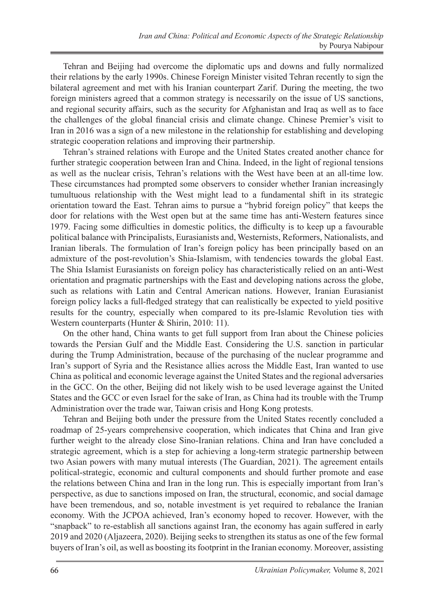Tehran and Beijing had overcome the diplomatic ups and downs and fully normalized their relations by the early 1990s. Chinese Foreign Minister visited Tehran recently to sign the bilateral agreement and met with his Iranian counterpart Zarif. During the meeting, the two foreign ministers agreed that a common strategy is necessarily on the issue of US sanctions, and regional security affairs, such as the security for Afghanistan and Iraq as well as to face the challenges of the global financial crisis and climate change. Chinese Premier's visit to Iran in 2016 was a sign of a new milestone in the relationship for establishing and developing strategic cooperation relations and improving their partnership.

Tehran's strained relations with Europe and the United States created another chance for further strategic cooperation between Iran and China. Indeed, in the light of regional tensions as well as the nuclear crisis, Tehran's relations with the West have been at an all-time low. These circumstances had prompted some observers to consider whether Iranian increasingly tumultuous relationship with the West might lead to a fundamental shift in its strategic orientation toward the East. Tehran aims to pursue a "hybrid foreign policy" that keeps the door for relations with the West open but at the same time has anti-Western features since 1979. Facing some difficulties in domestic politics, the difficulty is to keep up a favourable political balance with Principalists, Eurasianists and, Westernists, Reformers, Nationalists, and Iranian liberals. The formulation of Iran's foreign policy has been principally based on an admixture of the post-revolution's Shia-Islamism, with tendencies towards the global East. The Shia Islamist Eurasianists on foreign policy has characteristically relied on an anti-West orientation and pragmatic partnerships with the East and developing nations across the globe, such as relations with Latin and Central American nations. However, Iranian Eurasianist foreign policy lacks a full-fledged strategy that can realistically be expected to yield positive results for the country, especially when compared to its pre-Islamic Revolution ties with Western counterparts (Hunter & Shirin, 2010: 11).

On the other hand, China wants to get full support from Iran about the Chinese policies towards the Persian Gulf and the Middle East. Considering the U.S. sanction in particular during the Trump Administration, because of the purchasing of the nuclear programme and Iran's support of Syria and the Resistance allies across the Middle East, Iran wanted to use China as political and economic leverage against the United States and the regional adversaries in the GCC. On the other, Beijing did not likely wish to be used leverage against the United States and the GCC or even Israel for the sake of Iran, as China had its trouble with the Trump Administration over the trade war, Taiwan crisis and Hong Kong protests.

Tehran and Beijing both under the pressure from the United States recently concluded a roadmap of 25-years comprehensive cooperation, which indicates that China and Iran give further weight to the already close Sino-Iranian relations. China and Iran have concluded a strategic agreement, which is a step for achieving a long-term strategic partnership between two Asian powers with many mutual interests (The Guardian, 2021). The agreement entails political-strategic, economic and cultural components and should further promote and ease the relations between China and Iran in the long run. This is especially important from Iran's perspective, as due to sanctions imposed on Iran, the structural, economic, and social damage have been tremendous, and so, notable investment is yet required to rebalance the Iranian economy. With the JCPOA achieved, Iran's economy hoped to recover. However, with the "snapback" to re-establish all sanctions against Iran, the economy has again suffered in early 2019 and 2020 (Aljazeera, 2020). Beijing seeks to strengthen its status as one of the few formal buyers of Iran's oil, as well as boosting its footprint in the Iranian economy. Moreover, assisting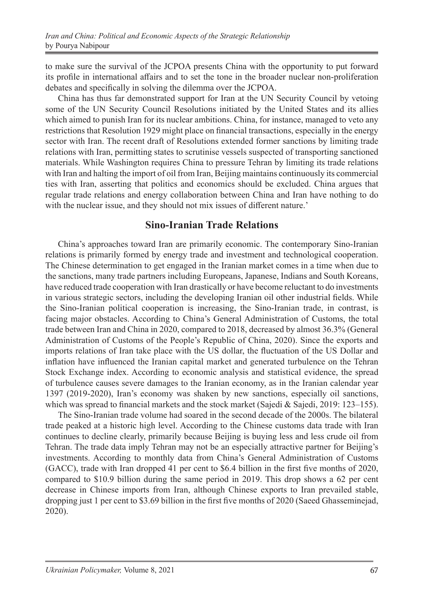to make sure the survival of the JCPOA presents China with the opportunity to put forward its profile in international affairs and to set the tone in the broader nuclear non-proliferation debates and specifically in solving the dilemma over the JCPOA.

China has thus far demonstrated support for Iran at the UN Security Council by vetoing some of the UN Security Council Resolutions initiated by the United States and its allies which aimed to punish Iran for its nuclear ambitions. China, for instance, managed to veto any restrictions that Resolution 1929 might place on financial transactions, especially in the energy sector with Iran. The recent draft of Resolutions extended former sanctions by limiting trade relations with Iran, permitting states to scrutinise vessels suspected of transporting sanctioned materials. While Washington requires China to pressure Tehran by limiting its trade relations with Iran and halting the import of oil from Iran, Beijing maintains continuously its commercial ties with Iran, asserting that politics and economics should be excluded. China argues that regular trade relations and energy collaboration between China and Iran have nothing to do with the nuclear issue, and they should not mix issues of different nature.'

## **Sino-Iranian Trade Relations**

China's approaches toward Iran are primarily economic. The contemporary Sino-Iranian relations is primarily formed by energy trade and investment and technological cooperation. The Chinese determination to get engaged in the Iranian market comes in a time when due to the sanctions, many trade partners including Europeans, Japanese, Indians and South Koreans, have reduced trade cooperation with Iran drastically or have become reluctant to do investments in various strategic sectors, including the developing Iranian oil other industrial fields. While the Sino-Iranian political cooperation is increasing, the Sino-Iranian trade, in contrast, is facing major obstacles. According to China's General Administration of Customs, the total trade between Iran and China in 2020, compared to 2018, decreased by almost 36.3% (General Administration of Customs of the People's Republic of China, 2020). Since the exports and imports relations of Iran take place with the US dollar, the fluctuation of the US Dollar and inflation have influenced the Iranian capital market and generated turbulence on the Tehran Stock Exchange index. According to economic analysis and statistical evidence, the spread of turbulence causes severe damages to the Iranian economy, as in the Iranian calendar year 1397 (2019-2020), Iran's economy was shaken by new sanctions, especially oil sanctions, which was spread to financial markets and the stock market (Sajedi & Sajedi, 2019: 123–155).

The Sino-Iranian trade volume had soared in the second decade of the 2000s. The bilateral trade peaked at a historic high level. According to the Chinese customs data trade with Iran continues to decline clearly, primarily because Beijing is buying less and less crude oil from Tehran. The trade data imply Tehran may not be an especially attractive partner for Beijing's investments. According to monthly data from China's General Administration of Customs (GACC), trade with Iran dropped 41 per cent to \$6.4 billion in the first five months of 2020, compared to \$10.9 billion during the same period in 2019. This drop shows a 62 per cent decrease in Chinese imports from Iran, although Chinese exports to Iran prevailed stable, dropping just 1 per cent to \$3.69 billion in the first five months of 2020 (Saeed Ghasseminejad, 2020).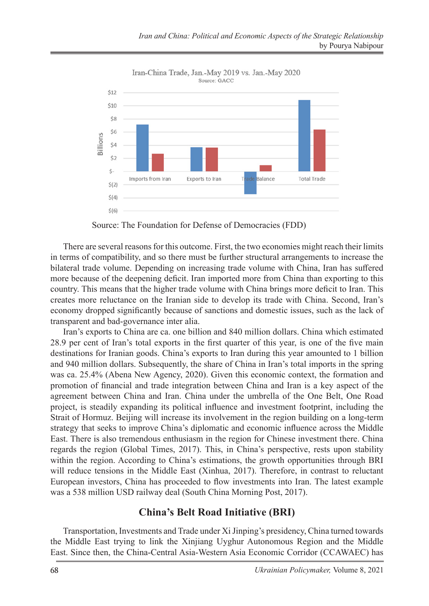

Iran-China Trade, Jan.-May 2019 vs. Jan.-May 2020 Source: GACC

Source: The Foundation for Defense of Democracies (FDD)

There are several reasons for this outcome. First, the two economies might reach their limits in terms of compatibility, and so there must be further structural arrangements to increase the bilateral trade volume. Depending on increasing trade volume with China, Iran has suffered more because of the deepening deficit. Iran imported more from China than exporting to this country. This means that the higher trade volume with China brings more deficit to Iran. This creates more reluctance on the Iranian side to develop its trade with China. Second, Iran's economy dropped significantly because of sanctions and domestic issues, such as the lack of transparent and bad-governance inter alia.

Iran's exports to China are ca. one billion and 840 million dollars. China which estimated 28.9 per cent of Iran's total exports in the first quarter of this year, is one of the five main destinations for Iranian goods. China's exports to Iran during this year amounted to 1 billion and 940 million dollars. Subsequently, the share of China in Iran's total imports in the spring was ca. 25.4% (Abena New Agency, 2020). Given this economic context, the formation and promotion of financial and trade integration between China and Iran is a key aspect of the agreement between China and Iran. China under the umbrella of the One Belt, One Road project, is steadily expanding its political influence and investment footprint, including the Strait of Hormuz. Beijing will increase its involvement in the region building on a long-term strategy that seeks to improve China's diplomatic and economic influence across the Middle East. There is also tremendous enthusiasm in the region for Chinese investment there. China regards the region (Global Times, 2017). This, in China's perspective, rests upon stability within the region. According to China's estimations, the growth opportunities through BRI will reduce tensions in the Middle East (Xinhua, 2017). Therefore, in contrast to reluctant European investors, China has proceeded to flow investments into Iran. The latest example was a 538 million USD railway deal (South China Morning Post, 2017).

#### **China's Belt Road Initiative (BRI)**

Transportation, Investments and Trade under Xi Jinping's presidency, China turned towards the Middle East trying to link the Xinjiang Uyghur Autonomous Region and the Middle East. Since then, the China-Central Asia-Western Asia Economic Corridor (CCAWAEC) has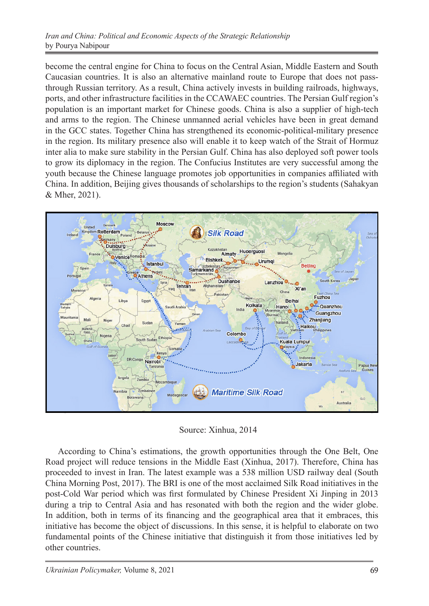become the central engine for China to focus on the Central Asian, Middle Eastern and South Caucasian countries. It is also an alternative mainland route to Europe that does not passthrough Russian territory. As a result, China actively invests in building railroads, highways, ports, and other infrastructure facilities in the CCAWAEC countries. The Persian Gulf region's population is an important market for Chinese goods. China is also a supplier of high-tech and arms to the region. The Chinese unmanned aerial vehicles have been in great demand in the GCC states. Together China has strengthened its economic-political-military presence in the region. Its military presence also will enable it to keep watch of the Strait of Hormuz inter alia to make sure stability in the Persian Gulf. China has also deployed soft power tools to grow its diplomacy in the region. The Confucius Institutes are very successful among the youth because the Chinese language promotes job opportunities in companies affiliated with China. In addition, Beijing gives thousands of scholarships to the region's students (Sahakyan & Mher, 2021).



Source: Xinhua, 2014

According to China's estimations, the growth opportunities through the One Belt, One Road project will reduce tensions in the Middle East (Xinhua, 2017). Therefore, China has proceeded to invest in Iran. The latest example was a 538 million USD railway deal (South China Morning Post, 2017). The BRI is one of the most acclaimed Silk Road initiatives in the post-Cold War period which was first formulated by Chinese President Xi Jinping in 2013 during a trip to Central Asia and has resonated with both the region and the wider globe. In addition, both in terms of its financing and the geographical area that it embraces, this initiative has become the object of discussions. In this sense, it is helpful to elaborate on two fundamental points of the Chinese initiative that distinguish it from those initiatives led by other countries.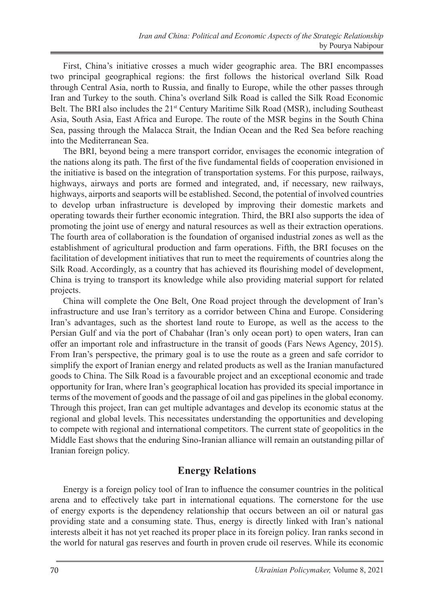First, China's initiative crosses a much wider geographic area. The BRI encompasses two principal geographical regions: the first follows the historical overland Silk Road through Central Asia, north to Russia, and finally to Europe, while the other passes through Iran and Turkey to the south. China's overland Silk Road is called the Silk Road Economic Belt. The BRI also includes the 21<sup>st</sup> Century Maritime Silk Road (MSR), including Southeast Asia, South Asia, East Africa and Europe. The route of the MSR begins in the South China Sea, passing through the Malacca Strait, the Indian Ocean and the Red Sea before reaching into the Mediterranean Sea.

The BRI, beyond being a mere transport corridor, envisages the economic integration of the nations along its path. The first of the five fundamental fields of cooperation envisioned in the initiative is based on the integration of transportation systems. For this purpose, railways, highways, airways and ports are formed and integrated, and, if necessary, new railways, highways, airports and seaports will be established. Second, the potential of involved countries to develop urban infrastructure is developed by improving their domestic markets and operating towards their further economic integration. Third, the BRI also supports the idea of promoting the joint use of energy and natural resources as well as their extraction operations. The fourth area of collaboration is the foundation of organised industrial zones as well as the establishment of agricultural production and farm operations. Fifth, the BRI focuses on the facilitation of development initiatives that run to meet the requirements of countries along the Silk Road. Accordingly, as a country that has achieved its flourishing model of development, China is trying to transport its knowledge while also providing material support for related projects.

China will complete the One Belt, One Road project through the development of Iran's infrastructure and use Iran's territory as a corridor between China and Europe. Considering Iran's advantages, such as the shortest land route to Europe, as well as the access to the Persian Gulf and via the port of Chabahar (Iran's only ocean port) to open waters, Iran can offer an important role and infrastructure in the transit of goods (Fars News Agency, 2015). From Iran's perspective, the primary goal is to use the route as a green and safe corridor to simplify the export of Iranian energy and related products as well as the Iranian manufactured goods to China. The Silk Road is a favourable project and an exceptional economic and trade opportunity for Iran, where Iran's geographical location has provided its special importance in terms of the movement of goods and the passage of oil and gas pipelines in the global economy. Through this project, Iran can get multiple advantages and develop its economic status at the regional and global levels. This necessitates understanding the opportunities and developing to compete with regional and international competitors. The current state of geopolitics in the Middle East shows that the enduring Sino-Iranian alliance will remain an outstanding pillar of Iranian foreign policy.

# **Energy Relations**

Energy is a foreign policy tool of Iran to influence the consumer countries in the political arena and to effectively take part in international equations. The cornerstone for the use of energy exports is the dependency relationship that occurs between an oil or natural gas providing state and a consuming state. Thus, energy is directly linked with Iran's national interests albeit it has not yet reached its proper place in its foreign policy. Iran ranks second in the world for natural gas reserves and fourth in proven crude oil reserves. While its economic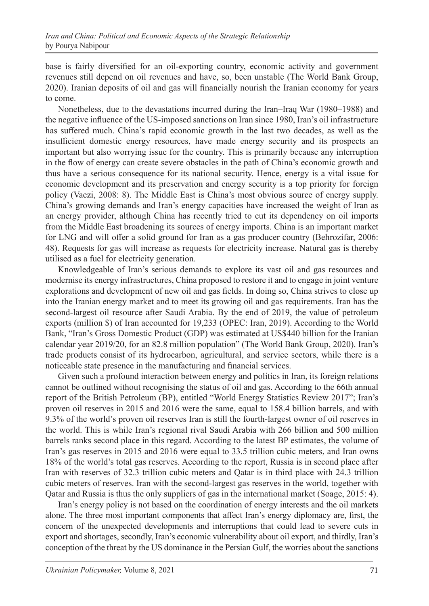base is fairly diversified for an oil-exporting country, economic activity and government revenues still depend on oil revenues and have, so, been unstable (The World Bank Group, 2020). Iranian deposits of oil and gas will financially nourish the Iranian economy for years to come.

Nonetheless, due to the devastations incurred during the Iran–Iraq War (1980–1988) and the negative influence of the US-imposed sanctions on Iran since 1980, Iran's oil infrastructure has suffered much. China's rapid economic growth in the last two decades, as well as the insufficient domestic energy resources, have made energy security and its prospects an important but also worrying issue for the country. This is primarily because any interruption in the flow of energy can create severe obstacles in the path of China's economic growth and thus have a serious consequence for its national security. Hence, energy is a vital issue for economic development and its preservation and energy security is a top priority for foreign policy (Vaezi, 2008: 8). The Middle East is China's most obvious source of energy supply. China's growing demands and Iran's energy capacities have increased the weight of Iran as an energy provider, although China has recently tried to cut its dependency on oil imports from the Middle East broadening its sources of energy imports. China is an important market for LNG and will offer a solid ground for Iran as a gas producer country (Behrozifar, 2006: 48). Requests for gas will increase as requests for electricity increase. Natural gas is thereby utilised as a fuel for electricity generation.

Knowledgeable of Iran's serious demands to explore its vast oil and gas resources and modernise its energy infrastructures, China proposed to restore it and to engage in joint venture explorations and development of new oil and gas fields. In doing so, China strives to close up into the Iranian energy market and to meet its growing oil and gas requirements. Iran has the second-largest oil resource after Saudi Arabia. By the end of 2019, the value of petroleum exports (million \$) of Iran accounted for 19,233 (OPEC: Iran, 2019). According to the World Bank, "Iran's Gross Domestic Product (GDP) was estimated at US\$440 billion for the Iranian calendar year 2019/20, for an 82.8 million population" (The World Bank Group, 2020). Iran's trade products consist of its hydrocarbon, agricultural, and service sectors, while there is a noticeable state presence in the manufacturing and financial services.

Given such a profound interaction between energy and politics in Iran, its foreign relations cannot be outlined without recognising the status of oil and gas. According to the 66th annual report of the British Petroleum (BP), entitled "World Energy Statistics Review 2017"; Iran's proven oil reserves in 2015 and 2016 were the same, equal to 158.4 billion barrels, and with 9.3% of the world's proven oil reserves Iran is still the fourth-largest owner of oil reserves in the world. This is while Iran's regional rival Saudi Arabia with 266 billion and 500 million barrels ranks second place in this regard. According to the latest BP estimates, the volume of Iran's gas reserves in 2015 and 2016 were equal to 33.5 trillion cubic meters, and Iran owns 18% of the world's total gas reserves. According to the report, Russia is in second place after Iran with reserves of 32.3 trillion cubic meters and Qatar is in third place with 24.3 trillion cubic meters of reserves. Iran with the second-largest gas reserves in the world, together with Qatar and Russia is thus the only suppliers of gas in the international market (Soage, 2015: 4).

Iran's energy policy is not based on the coordination of energy interests and the oil markets alone. The three most important components that affect Iran's energy diplomacy are, first, the concern of the unexpected developments and interruptions that could lead to severe cuts in export and shortages, secondly, Iran's economic vulnerability about oil export, and thirdly, Iran's conception of the threat by the US dominance in the Persian Gulf, the worries about the sanctions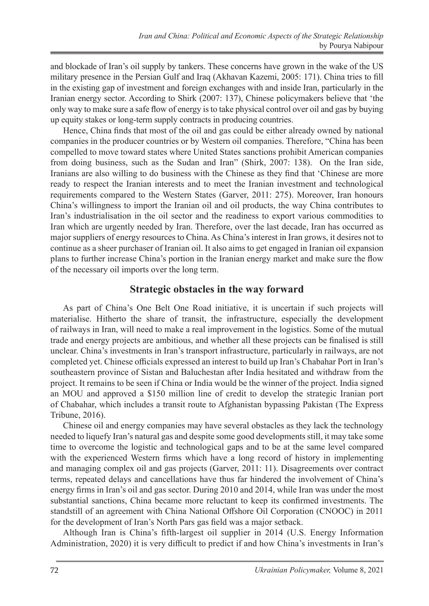and blockade of Iran's oil supply by tankers. These concerns have grown in the wake of the US military presence in the Persian Gulf and Iraq (Akhavan Kazemi, 2005: 171). China tries to fill in the existing gap of investment and foreign exchanges with and inside Iran, particularly in the Iranian energy sector. According to Shirk (2007: 137), Chinese policymakers believe that 'the only way to make sure a safe flow of energy is to take physical control over oil and gas by buying up equity stakes or long-term supply contracts in producing countries.

Hence, China finds that most of the oil and gas could be either already owned by national companies in the producer countries or by Western oil companies. Therefore, "China has been compelled to move toward states where United States sanctions prohibit American companies from doing business, such as the Sudan and Iran" (Shirk, 2007: 138). On the Iran side, Iranians are also willing to do business with the Chinese as they find that 'Chinese are more ready to respect the Iranian interests and to meet the Iranian investment and technological requirements compared to the Western States (Garver, 2011: 275). Moreover, Iran honours China's willingness to import the Iranian oil and oil products, the way China contributes to Iran's industrialisation in the oil sector and the readiness to export various commodities to Iran which are urgently needed by Iran. Therefore, over the last decade, Iran has occurred as major suppliers of energy resources to China. As China's interest in Iran grows, it desires not to continue as a sheer purchaser of Iranian oil. It also aims to get engaged in Iranian oil expansion plans to further increase China's portion in the Iranian energy market and make sure the flow of the necessary oil imports over the long term.

#### **Strategic obstacles in the way forward**

As part of China's One Belt One Road initiative, it is uncertain if such projects will materialise. Hitherto the share of transit, the infrastructure, especially the development of railways in Iran, will need to make a real improvement in the logistics. Some of the mutual trade and energy projects are ambitious, and whether all these projects can be finalised is still unclear. China's investments in Iran's transport infrastructure, particularly in railways, are not completed yet. Chinese officials expressed an interest to build up Iran's Chabahar Port in Iran's southeastern province of Sistan and Baluchestan after India hesitated and withdraw from the project. It remains to be seen if China or India would be the winner of the project. India signed an MOU and approved a \$150 million line of credit to develop the strategic Iranian port of Chabahar, which includes a transit route to Afghanistan bypassing Pakistan (The Express Tribune, 2016).

Chinese oil and energy companies may have several obstacles as they lack the technology needed to liquefy Iran's natural gas and despite some good developments still, it may take some time to overcome the logistic and technological gaps and to be at the same level compared with the experienced Western firms which have a long record of history in implementing and managing complex oil and gas projects (Garver, 2011: 11). Disagreements over contract terms, repeated delays and cancellations have thus far hindered the involvement of China's energy firms in Iran's oil and gas sector. During 2010 and 2014, while Iran was under the most substantial sanctions, China became more reluctant to keep its confirmed investments. The standstill of an agreement with China National Offshore Oil Corporation (CNOOC) in 2011 for the development of Iran's North Pars gas field was a major setback.

Although Iran is China's fifth-largest oil supplier in 2014 (U.S. Energy Information Administration, 2020) it is very difficult to predict if and how China's investments in Iran's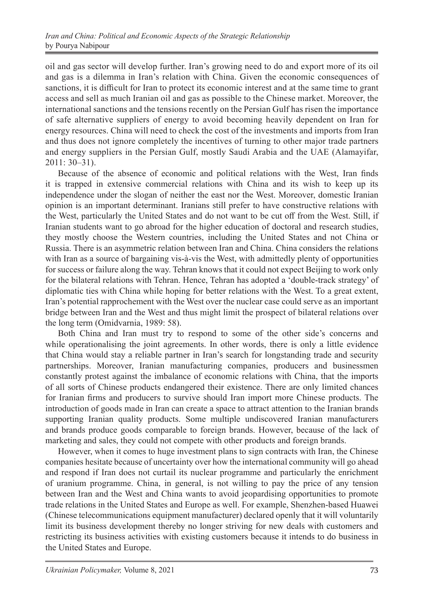oil and gas sector will develop further. Iran's growing need to do and export more of its oil and gas is a dilemma in Iran's relation with China. Given the economic consequences of sanctions, it is difficult for Iran to protect its economic interest and at the same time to grant access and sell as much Iranian oil and gas as possible to the Chinese market. Moreover, the international sanctions and the tensions recently on the Persian Gulf has risen the importance of safe alternative suppliers of energy to avoid becoming heavily dependent on Iran for energy resources. China will need to check the cost of the investments and imports from Iran and thus does not ignore completely the incentives of turning to other major trade partners and energy suppliers in the Persian Gulf, mostly Saudi Arabia and the UAE (Alamayifar, 2011: 30–31).

Because of the absence of economic and political relations with the West, Iran finds it is trapped in extensive commercial relations with China and its wish to keep up its independence under the slogan of neither the east nor the West. Moreover, domestic Iranian opinion is an important determinant. Iranians still prefer to have constructive relations with the West, particularly the United States and do not want to be cut off from the West. Still, if Iranian students want to go abroad for the higher education of doctoral and research studies, they mostly choose the Western countries, including the United States and not China or Russia. There is an asymmetric relation between Iran and China. China considers the relations with Iran as a source of bargaining vis-à-vis the West, with admittedly plenty of opportunities for success or failure along the way. Tehran knows that it could not expect Beijing to work only for the bilateral relations with Tehran. Hence, Tehran has adopted a 'double-track strategy' of diplomatic ties with China while hoping for better relations with the West. To a great extent, Iran's potential rapprochement with the West over the nuclear case could serve as an important bridge between Iran and the West and thus might limit the prospect of bilateral relations over the long term (Omidvarnia, 1989: 58).

Both China and Iran must try to respond to some of the other side's concerns and while operationalising the joint agreements. In other words, there is only a little evidence that China would stay a reliable partner in Iran's search for longstanding trade and security partnerships. Moreover, Iranian manufacturing companies, producers and businessmen constantly protest against the imbalance of economic relations with China, that the imports of all sorts of Chinese products endangered their existence. There are only limited chances for Iranian firms and producers to survive should Iran import more Chinese products. The introduction of goods made in Iran can create a space to attract attention to the Iranian brands supporting Iranian quality products. Some multiple undiscovered Iranian manufacturers and brands produce goods comparable to foreign brands. However, because of the lack of marketing and sales, they could not compete with other products and foreign brands.

However, when it comes to huge investment plans to sign contracts with Iran, the Chinese companies hesitate because of uncertainty over how the international community will go ahead and respond if Iran does not curtail its nuclear programme and particularly the enrichment of uranium programme. China, in general, is not willing to pay the price of any tension between Iran and the West and China wants to avoid jeopardising opportunities to promote trade relations in the United States and Europe as well. For example, Shenzhen-based Huawei (Chinese telecommunications equipment manufacturer) declared openly that it will voluntarily limit its business development thereby no longer striving for new deals with customers and restricting its business activities with existing customers because it intends to do business in the United States and Europe.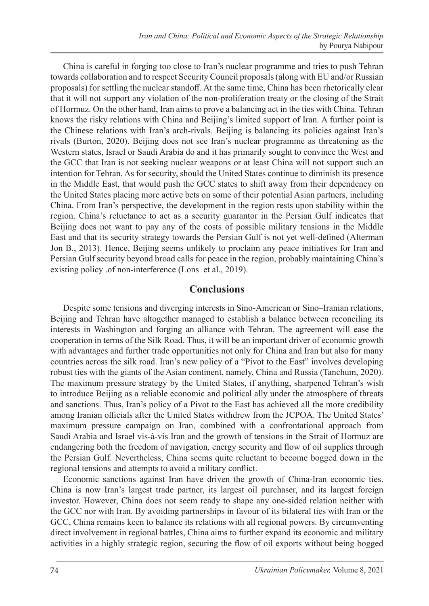China is careful in forging too close to Iran's nuclear programme and tries to push Tehran towards collaboration and to respect Security Council proposals (along with EU and/or Russian proposals) for settling the nuclear standoff. At the same time, China has been rhetorically clear that it will not support any violation of the non-proliferation treaty or the closing of the Strait of Hormuz. On the other hand, Iran aims to prove a balancing act in the ties with China. Tehran knows the risky relations with China and Beijing's limited support of Iran. A further point is the Chinese relations with Iran's arch-rivals. Beijing is balancing its policies against Iran's rivals (Burton, 2020). Beijing does not see Iran's nuclear programme as threatening as the Western states, Israel or Saudi Arabia do and it has primarily sought to convince the West and the GCC that Iran is not seeking nuclear weapons or at least China will not support such an intention for Tehran. As for security, should the United States continue to diminish its presence in the Middle East, that would push the GCC states to shift away from their dependency on the United States placing more active bets on some of their potential Asian partners, including China. From Iran's perspective, the development in the region rests upon stability within the region. China's reluctance to act as a security guarantor in the Persian Gulf indicates that Beijing does not want to pay any of the costs of possible military tensions in the Middle East and that its security strategy towards the Persian Gulf is not yet well-defined (Alterman Jon B., 2013). Hence, Beijing seems unlikely to proclaim any peace initiatives for Iran and Persian Gulf security beyond broad calls for peace in the region, probably maintaining China's existing policy .of non-interference (Lons et al., 2019).

#### **Conclusions**

Despite some tensions and diverging interests in Sino-American or Sino–Iranian relations, Beijing and Tehran have altogether managed to establish a balance between reconciling its interests in Washington and forging an alliance with Tehran. The agreement will ease the cooperation in terms of the Silk Road. Thus, it will be an important driver of economic growth with advantages and further trade opportunities not only for China and Iran but also for many countries across the silk road. Iran's new policy of a "Pivot to the East" involves developing robust ties with the giants of the Asian continent, namely, China and Russia (Tanchum, 2020). The maximum pressure strategy by the United States, if anything, sharpened Tehran's wish to introduce Beijing as a reliable economic and political ally under the atmosphere of threats and sanctions. Thus, Iran's policy of a Pivot to the East has achieved all the more credibility among Iranian officials after the United States withdrew from the JCPOA. The United States' maximum pressure campaign on Iran, combined with a confrontational approach from Saudi Arabia and Israel vis-à-vis Iran and the growth of tensions in the Strait of Hormuz are endangering both the freedom of navigation, energy security and flow of oil supplies through the Persian Gulf. Nevertheless, China seems quite reluctant to become bogged down in the regional tensions and attempts to avoid a military conflict.

Economic sanctions against Iran have driven the growth of China-Iran economic ties. China is now Iran's largest trade partner, its largest oil purchaser, and its largest foreign investor. However, China does not seem ready to shape any one-sided relation neither with the GCC nor with Iran. By avoiding partnerships in favour of its bilateral ties with Iran or the GCC, China remains keen to balance its relations with all regional powers. By circumventing direct involvement in regional battles, China aims to further expand its economic and military activities in a highly strategic region, securing the flow of oil exports without being bogged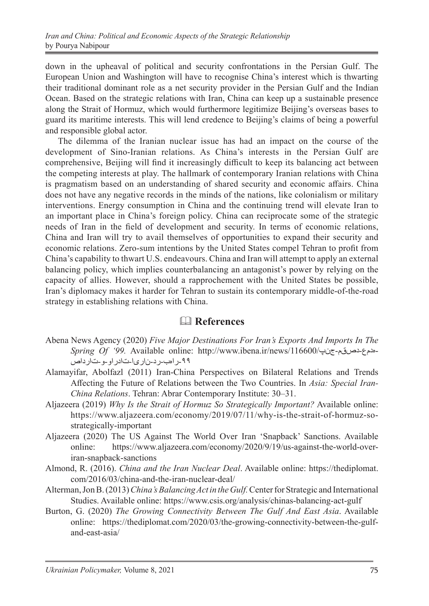down in the upheaval of political and security confrontations in the Persian Gulf. The European Union and Washington will have to recognise China's interest which is thwarting their traditional dominant role as a net security provider in the Persian Gulf and the Indian Ocean. Based on the strategic relations with Iran, China can keep up a sustainable presence along the Strait of Hormuz, which would furthermore legitimize Beijing's overseas bases to guard its maritime interests. This will lend credence to Beijing's claims of being a powerful and responsible global actor.

The dilemma of the Iranian nuclear issue has had an impact on the course of the development of Sino-Iranian relations. As China's interests in the Persian Gulf are comprehensive, Beijing will find it increasingly difficult to keep its balancing act between the competing interests at play. The hallmark of contemporary Iranian relations with China is pragmatism based on an understanding of shared security and economic affairs. China does not have any negative records in the minds of the nations, like colonialism or military interventions. Energy consumption in China and the continuing trend will elevate Iran to an important place in China's foreign policy. China can reciprocate some of the strategic needs of Iran in the field of development and security. In terms of economic relations, China and Iran will try to avail themselves of opportunities to expand their security and economic relations. Zero-sum intentions by the United States compel Tehran to profit from China's capability to thwart U.S. endeavours. China and Iran will attempt to apply an external balancing policy, which implies counterbalancing an antagonist's power by relying on the capacity of allies. However, should a rapprochement with the United States be possible, Iran's diplomacy makes it harder for Tehran to sustain its contemporary middle-of-the-road strategy in establishing relations with China.

#### & **References**

- Abena News Agency (2020) *Five Major Destinations For Iran's Exports And Imports In The*  -۹۹راهب-رد-ناریا-تادراو-و-تارداص-هدمع-دصقم-جنپ/116600/news/ir.ibena.www://http :online Available *99. 'Of Spring*
- Alamayifar, Abolfazl (2011) Iran-China Perspectives on Bilateral Relations and Trends Affecting the Future of Relations between the Two Countries. In *Asia: Special Iran-China Relations*. Tehran: Abrar Contemporary Institute: 30–31.
- Aljazeera (2019) *Why Is the Strait of Hormuz So Strategically Important?* Available online: https://www.aljazeera.com/economy/2019/07/11/why-is-the-strait-of-hormuz-sostrategically-important
- Aljazeera (2020) The US Against The World Over Iran 'Snapback' Sanctions. Available online: https://www.aljazeera.com/economy/2020/9/19/us-against-the-world-overiran-snapback-sanctions
- Almond, R. (2016). *China and the Iran Nuclear Deal*. Available online: https://thediplomat. com/2016/03/china-and-the-iran-nuclear-deal/
- Alterman, Jon B. (2013) *China's Balancing Act in the Gulf.* Center for Strategic and International Studies. Available online: https://www.csis.org/analysis/chinas-balancing-act-gulf
- Burton, G. (2020) *The Growing Connectivity Between The Gulf And East Asia*. Available online: https://thediplomat.com/2020/03/the-growing-connectivity-between-the-gulfand-east-asia/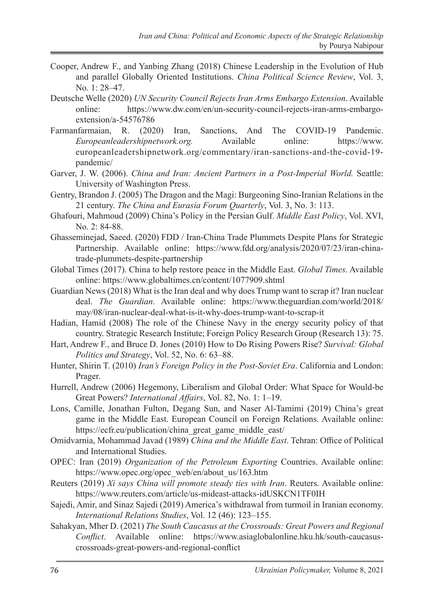- Cooper, Andrew F., and Yanbing Zhang (2018) Chinese Leadership in the Evolution of Hub and parallel Globally Oriented Institutions. *China Political Science Review*, Vol. 3, No. 1: 28–47.
- Deutsche Welle (2020) *UN Security Council Rejects Iran Arms Embargo Extension*. Available online: https://www.dw.com/en/un-security-council-rejects-iran-arms-embargoextension/a-54576786
- Farmanfarmaian, R. (2020) Iran, Sanctions, And The COVID-19 Pandemic. *Europeanleadershipnetwork.org.* Available online: https://www. europeanleadershipnetwork.org/commentary/iran-sanctions-and-the-covid-19 pandemic/
- Garver, J. W. (2006). *China and Iran: Ancient Partners in a Post-Imperial World.* Seattle: University of Washington Press.
- Gentry, Brandon J. (2005) The Dragon and the Magi: Burgeoning Sino-Iranian Relations in the 21 century. *The China and Eurasia Forum Quarterly*, Vol. 3, No. 3: 113.
- Ghafouri, Mahmoud (2009) China's Policy in the Persian Gulf. *Middle East Policy*, Vol. XVI, No. 2: 84-88.
- Ghasseminejad, Saeed. (2020) FDD / Iran-China Trade Plummets Despite Plans for Strategic Partnership. Available online: https://www.fdd.org/analysis/2020/07/23/iran-chinatrade-plummets-despite-partnership
- Global Times (2017). China to help restore peace in the Middle East. *Global Times*. Available online: https://www.globaltimes.cn/content/1077909.shtml
- Guardian News (2018) What is the Iran deal and why does Trump want to scrap it? Iran nuclear deal. *The Guardian*. Available online: https://www.theguardian.com/world/2018/ may/08/iran-nuclear-deal-what-is-it-why-does-trump-want-to-scrap-it
- Hadian, Hamid (2008) The role of the Chinese Navy in the energy security policy of that country. Strategic Research Institute; Foreign Policy Research Group (Research 13): 75.
- Hart, Andrew F., and Bruce D. Jones (2010) How to Do Rising Powers Rise? *Survival: Global Politics and Strategy*, Vol. 52, No. 6: 63–88.
- Hunter, Shirin T. (2010) *Iran's Foreign Policy in the Post-Soviet Era*. California and London: Prager.
- Hurrell, Andrew (2006) Hegemony, Liberalism and Global Order: What Space for Would-be Great Powers? *International Affairs*, Vol. 82, No. 1: 1–19.
- Lons, Camille, Jonathan Fulton, Degang Sun, and Naser Al-Tamimi (2019) China's great game in the Middle East. European Council on Foreign Relations. Available online: https://ecfr.eu/publication/china\_great\_game\_middle\_east/
- Omidvarnia, Mohammad Javad (1989) *China and the Middle East*. Tehran: Office of Political and International Studies.
- OPEC: Iran (2019) *Organization of the Petroleum Exporting* Countries. Available online: https://www.opec.org/opec\_web/en/about\_us/163.htm
- Reuters (2019) *Xi says China will promote steady ties with Iran*. Reuters. Available online: https://www.reuters.com/article/us-mideast-attacks-idUSKCN1TF0IH
- Sajedi, Amir, and Sinaz Sajedi (2019) America's withdrawal from turmoil in Iranian economy. *International Relations Studies*, Vol. 12 (46): 123–155.
- Sahakyan, Mher D. (2021) *The South Caucasus at the Crossroads: Great Powers and Regional Conflict*. Available online: https://www.asiaglobalonline.hku.hk/south-caucasuscrossroads-great-powers-and-regional-conflict